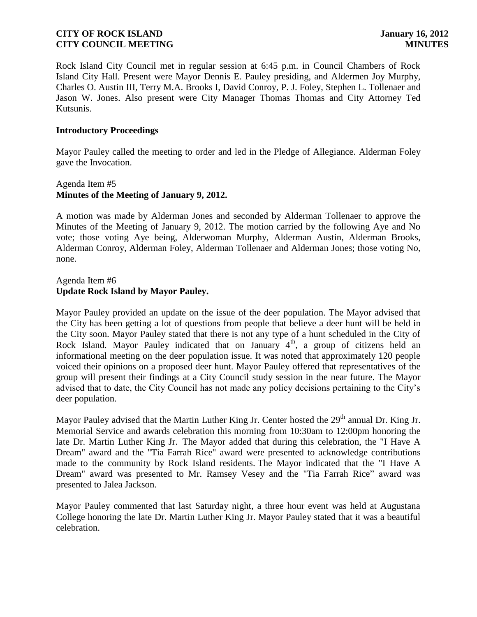Rock Island City Council met in regular session at 6:45 p.m. in Council Chambers of Rock Island City Hall. Present were Mayor Dennis E. Pauley presiding, and Aldermen Joy Murphy, Charles O. Austin III, Terry M.A. Brooks I, David Conroy, P. J. Foley, Stephen L. Tollenaer and Jason W. Jones. Also present were City Manager Thomas Thomas and City Attorney Ted Kutsunis.

### **Introductory Proceedings**

Mayor Pauley called the meeting to order and led in the Pledge of Allegiance. Alderman Foley gave the Invocation.

# Agenda Item #5 **Minutes of the Meeting of January 9, 2012.**

A motion was made by Alderman Jones and seconded by Alderman Tollenaer to approve the Minutes of the Meeting of January 9, 2012. The motion carried by the following Aye and No vote; those voting Aye being, Alderwoman Murphy, Alderman Austin, Alderman Brooks, Alderman Conroy, Alderman Foley, Alderman Tollenaer and Alderman Jones; those voting No, none.

# Agenda Item #6 **Update Rock Island by Mayor Pauley.**

Mayor Pauley provided an update on the issue of the deer population. The Mayor advised that the City has been getting a lot of questions from people that believe a deer hunt will be held in the City soon. Mayor Pauley stated that there is not any type of a hunt scheduled in the City of Rock Island. Mayor Pauley indicated that on January 4<sup>th</sup>, a group of citizens held an informational meeting on the deer population issue. It was noted that approximately 120 people voiced their opinions on a proposed deer hunt. Mayor Pauley offered that representatives of the group will present their findings at a City Council study session in the near future. The Mayor advised that to date, the City Council has not made any policy decisions pertaining to the City's deer population.

Mayor Pauley advised that the Martin Luther King Jr. Center hosted the 29<sup>th</sup> annual Dr. King Jr. Memorial Service and awards celebration this morning from 10:30am to 12:00pm honoring the late Dr. Martin Luther King Jr. The Mayor added that during this celebration, the "I Have A Dream" award and the "Tia Farrah Rice" award were presented to acknowledge contributions made to the community by Rock Island residents. The Mayor indicated that the "I Have A Dream" award was presented to Mr. Ramsey Vesey and the "Tia Farrah Rice" award was presented to Jalea Jackson.

Mayor Pauley commented that last Saturday night, a three hour event was held at Augustana College honoring the late Dr. Martin Luther King Jr. Mayor Pauley stated that it was a beautiful celebration.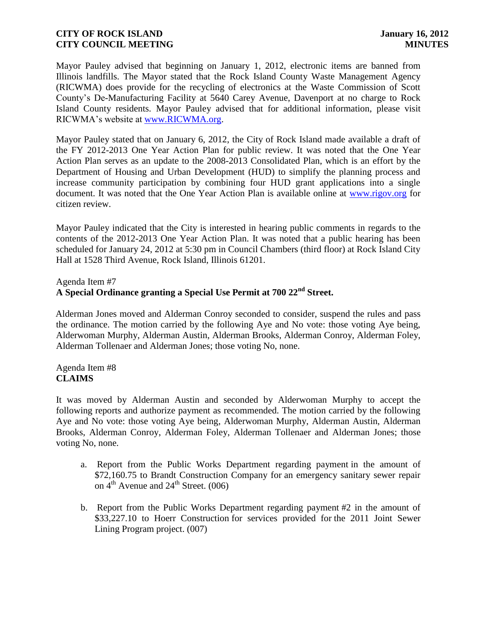Mayor Pauley advised that beginning on January 1, 2012, electronic items are banned from Illinois landfills. The Mayor stated that the Rock Island County Waste Management Agency (RICWMA) does provide for the recycling of electronics at the Waste Commission of Scott County's De-Manufacturing Facility at 5640 Carey Avenue, Davenport at no charge to Rock Island County residents. Mayor Pauley advised that for additional information, please visit RICWMA's website at [www.RICWMA.org.](http://www.ricwma.org/)

Mayor Pauley stated that on January 6, 2012, the City of Rock Island made available a draft of the FY 2012-2013 One Year Action Plan for public review. It was noted that the One Year Action Plan serves as an update to the 2008-2013 Consolidated Plan, which is an effort by the Department of Housing and Urban Development (HUD) to simplify the planning process and increase community participation by combining four HUD grant applications into a single document. It was noted that the One Year Action Plan is available online at [www.rigov.org](http://www.rigov.org/) for citizen review.

Mayor Pauley indicated that the City is interested in hearing public comments in regards to the contents of the 2012-2013 One Year Action Plan. It was noted that a public hearing has been scheduled for January 24, 2012 at 5:30 pm in Council Chambers (third floor) at Rock Island City Hall at 1528 Third Avenue, Rock Island, Illinois 61201.

Agenda Item #7

# **A Special Ordinance granting a Special Use Permit at 700 22nd Street.**

 Alderman Jones moved and Alderman Conroy seconded to consider, suspend the rules and pass the ordinance. The motion carried by the following Aye and No vote: those voting Aye being, Alderwoman Murphy, Alderman Austin, Alderman Brooks, Alderman Conroy, Alderman Foley, Alderman Tollenaer and Alderman Jones; those voting No, none.

### Agenda Item #8 **CLAIMS**

It was moved by Alderman Austin and seconded by Alderwoman Murphy to accept the following reports and authorize payment as recommended. The motion carried by the following Aye and No vote: those voting Aye being, Alderwoman Murphy, Alderman Austin, Alderman Brooks, Alderman Conroy, Alderman Foley, Alderman Tollenaer and Alderman Jones; those voting No, none.

- a. Report from the Public Works Department regarding payment in the amount of \$72,160.75 to Brandt Construction Company for an emergency sanitary sewer repair on  $4^{\text{th}}$  Avenue and  $24^{\text{th}}$  Street. (006)
- b. Report from the Public Works Department regarding payment #2 in the amount of \$33,227.10 to Hoerr Construction for services provided for the 2011 Joint Sewer Lining Program project. (007)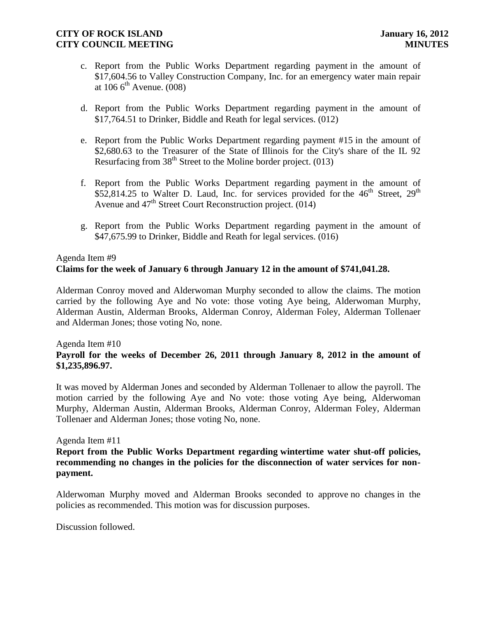- c. Report from the Public Works Department regarding payment in the amount of \$17,604.56 to Valley Construction Company, Inc. for an emergency water main repair at  $106.6^{\text{th}}$  Avenue. (008)
- d. Report from the Public Works Department regarding payment in the amount of \$17,764.51 to Drinker, Biddle and Reath for legal services. (012)
- e. Report from the Public Works Department regarding payment #15 in the amount of \$2,680.63 to the Treasurer of the State of Illinois for the City's share of the IL 92 Resurfacing from  $38<sup>th</sup>$  Street to the Moline border project. (013)
- f. Report from the Public Works Department regarding payment in the amount of \$52,814.25 to Walter D. Laud, Inc. for services provided for the  $46<sup>th</sup>$  Street,  $29<sup>th</sup>$ Avenue and  $47<sup>th</sup>$  Street Court Reconstruction project. (014)
- g. Report from the Public Works Department regarding payment in the amount of \$47,675.99 to Drinker, Biddle and Reath for legal services. (016)

# Agenda Item #9 **Claims for the week of January 6 through January 12 in the amount of \$741,041.28.**

Alderman Conroy moved and Alderwoman Murphy seconded to allow the claims. The motion carried by the following Aye and No vote: those voting Aye being, Alderwoman Murphy, Alderman Austin, Alderman Brooks, Alderman Conroy, Alderman Foley, Alderman Tollenaer and Alderman Jones; those voting No, none.

#### Agenda Item #10

### **Payroll for the weeks of December 26, 2011 through January 8, 2012 in the amount of \$1,235,896.97.**

It was moved by Alderman Jones and seconded by Alderman Tollenaer to allow the payroll. The motion carried by the following Aye and No vote: those voting Aye being, Alderwoman Murphy, Alderman Austin, Alderman Brooks, Alderman Conroy, Alderman Foley, Alderman Tollenaer and Alderman Jones; those voting No, none.

#### Agenda Item #11

**Report from the Public Works Department regarding wintertime water shut-off policies, recommending no changes in the policies for the disconnection of water services for nonpayment.**

Alderwoman Murphy moved and Alderman Brooks seconded to approve no changes in the policies as recommended. This motion was for discussion purposes.

Discussion followed.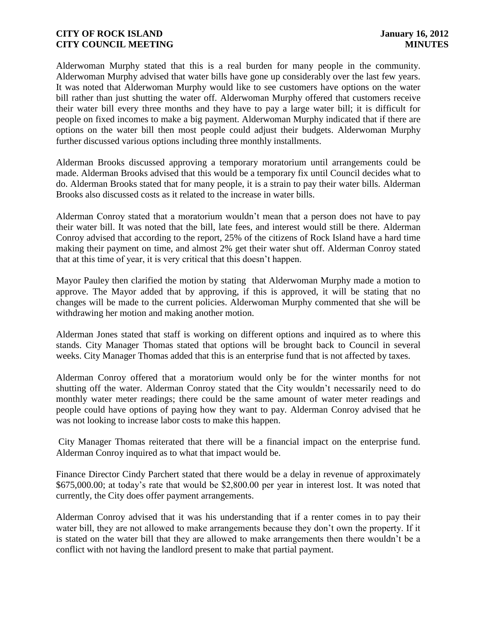Alderwoman Murphy stated that this is a real burden for many people in the community. Alderwoman Murphy advised that water bills have gone up considerably over the last few years. It was noted that Alderwoman Murphy would like to see customers have options on the water bill rather than just shutting the water off. Alderwoman Murphy offered that customers receive their water bill every three months and they have to pay a large water bill; it is difficult for people on fixed incomes to make a big payment. Alderwoman Murphy indicated that if there are options on the water bill then most people could adjust their budgets. Alderwoman Murphy further discussed various options including three monthly installments.

Alderman Brooks discussed approving a temporary moratorium until arrangements could be made. Alderman Brooks advised that this would be a temporary fix until Council decides what to do. Alderman Brooks stated that for many people, it is a strain to pay their water bills. Alderman Brooks also discussed costs as it related to the increase in water bills.

Alderman Conroy stated that a moratorium wouldn't mean that a person does not have to pay their water bill. It was noted that the bill, late fees, and interest would still be there. Alderman Conroy advised that according to the report, 25% of the citizens of Rock Island have a hard time making their payment on time, and almost 2% get their water shut off. Alderman Conroy stated that at this time of year, it is very critical that this doesn't happen.

Mayor Pauley then clarified the motion by stating that Alderwoman Murphy made a motion to approve. The Mayor added that by approving, if this is approved, it will be stating that no changes will be made to the current policies. Alderwoman Murphy commented that she will be withdrawing her motion and making another motion.

Alderman Jones stated that staff is working on different options and inquired as to where this stands. City Manager Thomas stated that options will be brought back to Council in several weeks. City Manager Thomas added that this is an enterprise fund that is not affected by taxes.

Alderman Conroy offered that a moratorium would only be for the winter months for not shutting off the water. Alderman Conroy stated that the City wouldn't necessarily need to do monthly water meter readings; there could be the same amount of water meter readings and people could have options of paying how they want to pay. Alderman Conroy advised that he was not looking to increase labor costs to make this happen.

City Manager Thomas reiterated that there will be a financial impact on the enterprise fund. Alderman Conroy inquired as to what that impact would be.

Finance Director Cindy Parchert stated that there would be a delay in revenue of approximately \$675,000.00; at today's rate that would be \$2,800.00 per year in interest lost. It was noted that currently, the City does offer payment arrangements.

Alderman Conroy advised that it was his understanding that if a renter comes in to pay their water bill, they are not allowed to make arrangements because they don't own the property. If it is stated on the water bill that they are allowed to make arrangements then there wouldn't be a conflict with not having the landlord present to make that partial payment.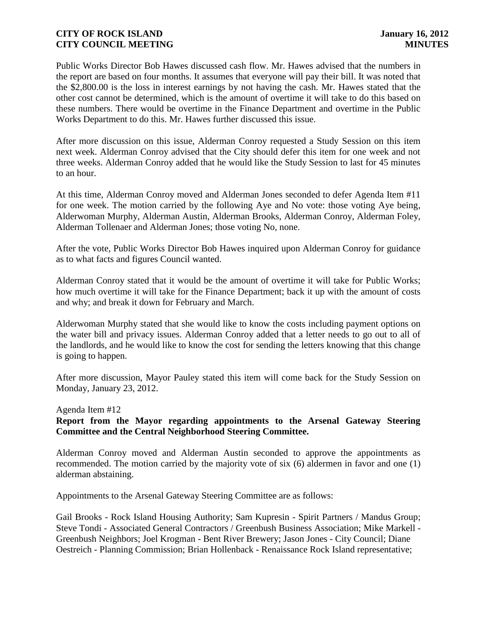Public Works Director Bob Hawes discussed cash flow. Mr. Hawes advised that the numbers in the report are based on four months. It assumes that everyone will pay their bill. It was noted that the \$2,800.00 is the loss in interest earnings by not having the cash. Mr. Hawes stated that the other cost cannot be determined, which is the amount of overtime it will take to do this based on these numbers. There would be overtime in the Finance Department and overtime in the Public Works Department to do this. Mr. Hawes further discussed this issue.

After more discussion on this issue, Alderman Conroy requested a Study Session on this item next week. Alderman Conroy advised that the City should defer this item for one week and not three weeks. Alderman Conroy added that he would like the Study Session to last for 45 minutes to an hour.

At this time, Alderman Conroy moved and Alderman Jones seconded to defer Agenda Item #11 for one week. The motion carried by the following Aye and No vote: those voting Aye being, Alderwoman Murphy, Alderman Austin, Alderman Brooks, Alderman Conroy, Alderman Foley, Alderman Tollenaer and Alderman Jones; those voting No, none.

After the vote, Public Works Director Bob Hawes inquired upon Alderman Conroy for guidance as to what facts and figures Council wanted.

Alderman Conroy stated that it would be the amount of overtime it will take for Public Works; how much overtime it will take for the Finance Department; back it up with the amount of costs and why; and break it down for February and March.

Alderwoman Murphy stated that she would like to know the costs including payment options on the water bill and privacy issues. Alderman Conroy added that a letter needs to go out to all of the landlords, and he would like to know the cost for sending the letters knowing that this change is going to happen.

After more discussion, Mayor Pauley stated this item will come back for the Study Session on Monday, January 23, 2012.

#### Agenda Item #12

### **Report from the Mayor regarding appointments to the Arsenal Gateway Steering Committee and the Central Neighborhood Steering Committee.**

 Alderman Conroy moved and Alderman Austin seconded to approve the appointments as recommended. The motion carried by the majority vote of six (6) aldermen in favor and one (1) alderman abstaining.

Appointments to the Arsenal Gateway Steering Committee are as follows:

Gail Brooks - Rock Island Housing Authority; Sam Kupresin - Spirit Partners / Mandus Group; Steve Tondi - Associated General Contractors / Greenbush Business Association; Mike Markell - Greenbush Neighbors; Joel Krogman - Bent River Brewery; Jason Jones - City Council; Diane Oestreich - Planning Commission; Brian Hollenback - Renaissance Rock Island representative;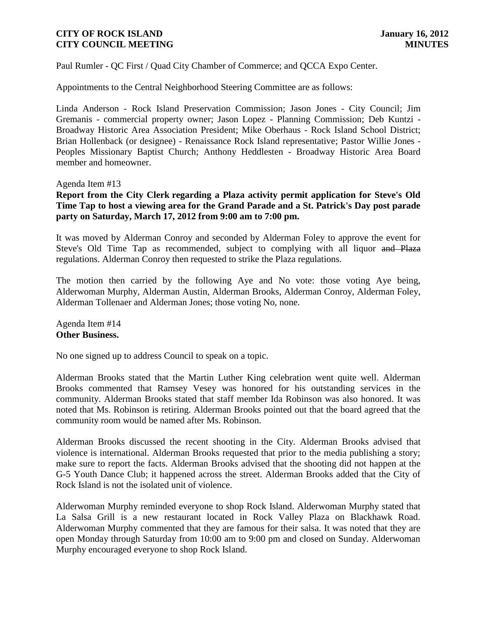Paul Rumler - QC First / Quad City Chamber of Commerce; and QCCA Expo Center.

Appointments to the Central Neighborhood Steering Committee are as follows:

Linda Anderson - Rock Island Preservation Commission; Jason Jones - City Council; Jim Gremanis - commercial property owner; Jason Lopez - Planning Commission; Deb Kuntzi - Broadway Historic Area Association President; Mike Oberhaus - Rock Island School District; Brian Hollenback (or designee) - Renaissance Rock Island representative; Pastor Willie Jones - Peoples Missionary Baptist Church; Anthony Heddlesten - Broadway Historic Area Board member and homeowner.

Agenda Item #13

**Report from the City Clerk regarding a Plaza activity permit application for Steve's Old Time Tap to host a viewing area for the Grand Parade and a St. Patrick's Day post parade party on Saturday, March 17, 2012 from 9:00 am to 7:00 pm.**

It was moved by Alderman Conroy and seconded by Alderman Foley to approve the event for Steve's Old Time Tap as recommended, subject to complying with all liquor and Plaza regulations. Alderman Conroy then requested to strike the Plaza regulations.

The motion then carried by the following Aye and No vote: those voting Aye being, Alderwoman Murphy, Alderman Austin, Alderman Brooks, Alderman Conroy, Alderman Foley, Alderman Tollenaer and Alderman Jones; those voting No, none.

Agenda Item #14 **Other Business.**

No one signed up to address Council to speak on a topic.

Alderman Brooks stated that the Martin Luther King celebration went quite well. Alderman Brooks commented that Ramsey Vesey was honored for his outstanding services in the community. Alderman Brooks stated that staff member Ida Robinson was also honored. It was noted that Ms. Robinson is retiring. Alderman Brooks pointed out that the board agreed that the community room would be named after Ms. Robinson.

Alderman Brooks discussed the recent shooting in the City. Alderman Brooks advised that violence is international. Alderman Brooks requested that prior to the media publishing a story; make sure to report the facts. Alderman Brooks advised that the shooting did not happen at the G-5 Youth Dance Club; it happened across the street. Alderman Brooks added that the City of Rock Island is not the isolated unit of violence.

Alderwoman Murphy reminded everyone to shop Rock Island. Alderwoman Murphy stated that La Salsa Grill is a new restaurant located in Rock Valley Plaza on Blackhawk Road. Alderwoman Murphy commented that they are famous for their salsa. It was noted that they are open Monday through Saturday from 10:00 am to 9:00 pm and closed on Sunday. Alderwoman Murphy encouraged everyone to shop Rock Island.